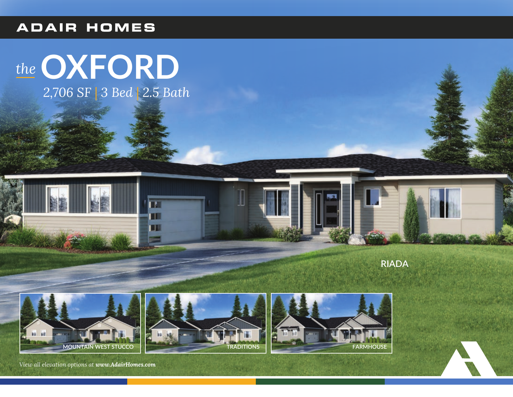#### **ADAIR HOMES**

# *the* **OXFORD**

*2,706 SF* | *3 Bed* | *2.5 Bath*

 $\overline{\mathbf{r}}$ EII n۳

**RIADA**







*View all elevation options at www.AdairHomes.com*